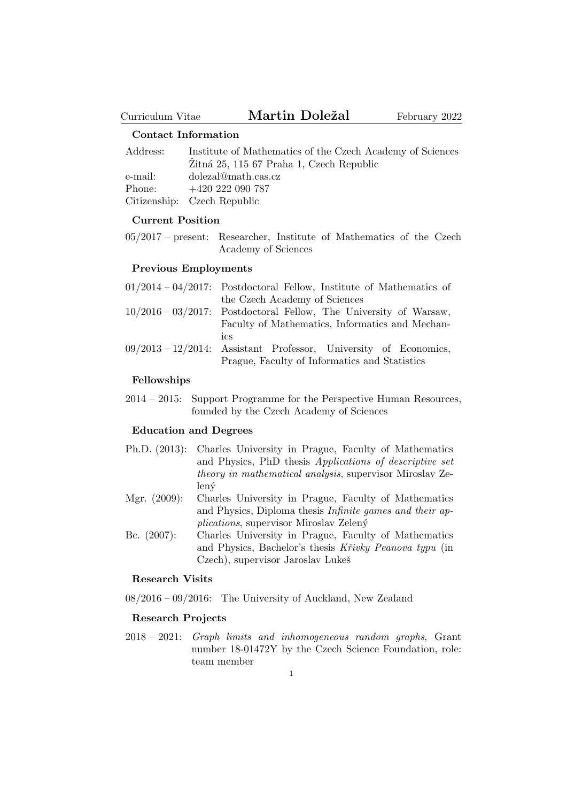## Contact Information

| Address: | Institute of Mathematics of the Czech Academy of Sciences |
|----------|-----------------------------------------------------------|
|          | Zitná 25, 115 67 Praha 1, Czech Republic                  |
| e-mail:  | dolezal@math.cas.cz                                       |
| Phone:   | $+420\;222\;090\;787$                                     |

Citizenship: Czech Republic

### Current Position

05/2017 – present: Researcher, Institute of Mathematics of the Czech Academy of Sciences

## Previous Employments

| $01/2014 - 04/2017$ : Postdoctoral Fellow, Institute of Mathematics of |  |  |  |  |
|------------------------------------------------------------------------|--|--|--|--|
| the Czech Academy of Sciences                                          |  |  |  |  |
| $10/2016 - 03/2017$ : Postdoctoral Fellow, The University of Warsaw,   |  |  |  |  |
| Faculty of Mathematics, Informatics and Mechan-                        |  |  |  |  |
| 1CS                                                                    |  |  |  |  |
| $09/2013 - 12/2014$ : Assistant Professor, University of Economics,    |  |  |  |  |
| Prague, Faculty of Informatics and Statistics                          |  |  |  |  |

### Fellowships

2014 – 2015: Support Programme for the Perspective Human Resources, founded by the Czech Academy of Sciences

#### Education and Degrees

- Ph.D. (2013): Charles University in Prague, Faculty of Mathematics and Physics, PhD thesis Applications of descriptive set theory in mathematical analysis, supervisor Miroslav Ze $len\acute{v}$
- Mgr. (2009): Charles University in Prague, Faculty of Mathematics and Physics, Diploma thesis Infinite games and their applications, supervisor Miroslav Zelený
- Bc. (2007): Charles University in Prague, Faculty of Mathematics and Physics, Bachelor's thesis Křivky Peanova typu (in Czech), supervisor Jaroslav Lukeš

### Research Visits

08/2016 – 09/2016: The University of Auckland, New Zealand

#### Research Projects

2018 – 2021: Graph limits and inhomogeneous random graphs, Grant number 18-01472Y by the Czech Science Foundation, role: team member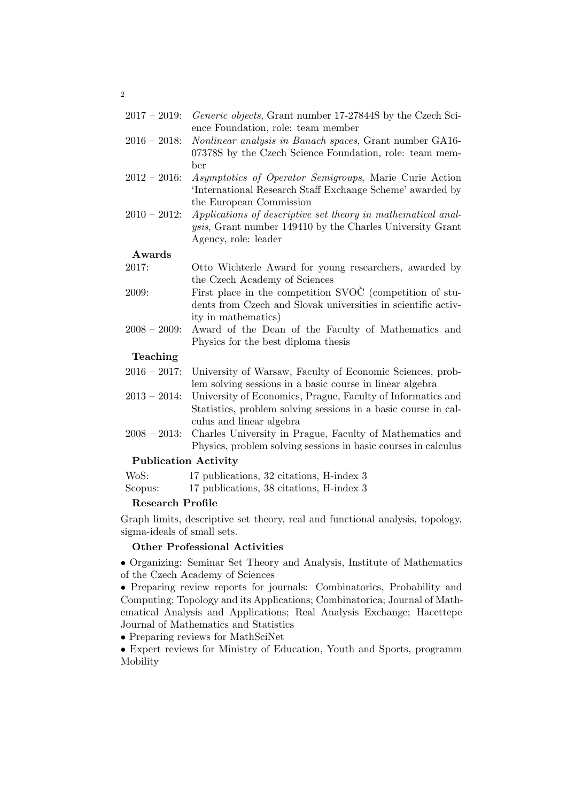| $2017 - 2019$ : <i>Generic objects</i> , Grant number 17-27844S by the Czech Sci- |
|-----------------------------------------------------------------------------------|
| ence Foundation, role: team member                                                |

- 2016 2018: Nonlinear analysis in Banach spaces, Grant number GA16- 07378S by the Czech Science Foundation, role: team member
- 2012 2016: Asymptotics of Operator Semigroups, Marie Curie Action 'International Research Staff Exchange Scheme' awarded by the European Commission
- 2010 2012: Applications of descriptive set theory in mathematical analysis, Grant number 149410 by the Charles University Grant Agency, role: leader

# Awards

- 2017: Otto Wichterle Award for young researchers, awarded by the Czech Academy of Sciences
- 2009: First place in the competition  $\text{SVOC}$  (competition of students from Czech and Slovak universities in scientific activity in mathematics)
- 2008 2009: Award of the Dean of the Faculty of Mathematics and Physics for the best diploma thesis

## Teaching

|  | $2016 - 2017$ : University of Warsaw, Faculty of Economic Sciences, prob-                                                                                                                                                                      |
|--|------------------------------------------------------------------------------------------------------------------------------------------------------------------------------------------------------------------------------------------------|
|  | lem solving sessions in a basic course in linear algebra                                                                                                                                                                                       |
|  | $0.019$ $0.014$ II' $\pm$ $0.01$ $\pm$ $0.019$ $\pm$ $0.11$ $\pm$ $0.019$ $\pm$ $0.014$ $\pm$ $0.014$ $\pm$ $0.014$ $\pm$ $0.014$ $\pm$ $0.014$ $\pm$ $0.014$ $\pm$ $0.014$ $\pm$ $0.014$ $\pm$ $0.014$ $\pm$ $0.014$ $\pm$ $0.014$ $\pm$ $0.$ |

- 2013 2014: University of Economics, Prague, Faculty of Informatics and Statistics, problem solving sessions in a basic course in calculus and linear algebra
- 2008 2013: Charles University in Prague, Faculty of Mathematics and Physics, problem solving sessions in basic courses in calculus

## Publication Activity

| WoS:    | 17 publications, 32 citations, H-index 3 |  |
|---------|------------------------------------------|--|
| Scopus: | 17 publications, 38 citations, H-index 3 |  |

## Research Profile

Graph limits, descriptive set theory, real and functional analysis, topology, sigma-ideals of small sets.

## Other Professional Activities

• Organizing: Seminar Set Theory and Analysis, Institute of Mathematics of the Czech Academy of Sciences

• Preparing review reports for journals: Combinatorics, Probability and Computing; Topology and its Applications; Combinatorica; Journal of Mathematical Analysis and Applications; Real Analysis Exchange; Hacettepe Journal of Mathematics and Statistics

• Preparing reviews for MathSciNet

• Expert reviews for Ministry of Education, Youth and Sports, programm Mobility

 $\overline{2}$